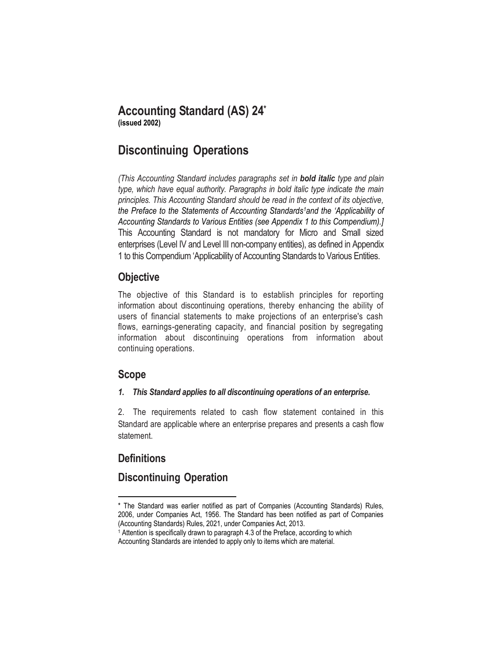# **Accounting Standard (AS) 24\***

**(issued 2002)**

## **Discontinuing Operations**

*(This Accounting Standard includes paragraphs set in bold italic type and plain type, which have equal authority. Paragraphs in bold italic type indicate the main principles. This Accounting Standard should be read in the context of its objective, the Preface to the Statements of Accounting Standards1and the 'Applicability of Accounting Standards to Various Entities (see Appendix 1 to this Compendium).]*  This Accounting Standard is not mandatory for Micro and Small sized enterprises (Level IV and Level III non-company entities), as defined in Appendix 1 to this Compendium 'Applicability of Accounting Standards to Various Entities.

## **Objective**

The objective of this Standard is to establish principles for reporting information about discontinuing operations, thereby enhancing the ability of users of financial statements to make projections of an enterprise's cash flows, earnings-generating capacity, and financial position by segregating information about discontinuing operations from information about continuing operations.

## **Scope**

### *1. This Standard applies to all discontinuing operations of an enterprise.*

2. The requirements related to cash flow statement contained in this Standard are applicable where an enterprise prepares and presents a cash flow statement.

## **Definitions**

l

## **Discontinuing Operation**

<sup>\*</sup> The Standard was earlier notified as part of Companies (Accounting Standards) Rules, 2006, under Companies Act, 1956. The Standard has been notified as part of Companies (Accounting Standards) Rules, 2021, under Companies Act, 2013.

<sup>&</sup>lt;sup>1</sup> Attention is specifically drawn to paragraph 4.3 of the Preface, according to which Accounting Standards are intended to apply only to items which are material.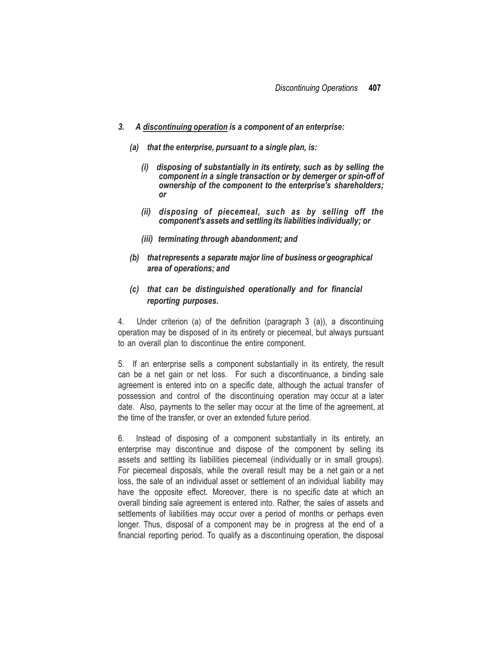- *3. A discontinuing operation is a component of an enterprise:*
	- *(a) that the enterprise, pursuant to a single plan, is:*
		- *(i) disposing of substantially in its entirety, such as by selling the component in a single transaction or by demerger or spin-off of ownership of the component to the enterprise's shareholders; or*
		- *(ii) disposing of piecemeal, such as by selling off the component's assets and settling its liabilities individually; or*
		- *(iii) terminating through abandonment; and*
	- *(b) thatrepresents a separate major line of business or geographical area of operations; and*
	- *(c) that can be distinguished operationally and for financial reporting purposes.*

4. Under criterion (a) of the definition (paragraph 3 (a)), a discontinuing operation may be disposed of in its entirety or piecemeal, but always pursuant to an overall plan to discontinue the entire component.

5. If an enterprise sells a component substantially in its entirety, the result can be a net gain or net loss. For such a discontinuance, a binding sale agreement is entered into on a specific date, although the actual transfer of possession and control of the discontinuing operation may occur at a later date. Also, payments to the seller may occur at the time of the agreement, at the time of the transfer, or over an extended future period.

6. Instead of disposing of a component substantially in its entirety, an enterprise may discontinue and dispose of the component by selling its assets and settling its liabilities piecemeal (individually or in small groups). For piecemeal disposals, while the overall result may be a net gain or a net loss, the sale of an individual asset or settlement of an individual liability may have the opposite effect. Moreover, there is no specific date at which an overall binding sale agreement is entered into. Rather, the sales of assets and settlements of liabilities may occur over a period of months or perhaps even longer. Thus, disposal of a component may be in progress at the end of a financial reporting period. To qualify as a discontinuing operation, the disposal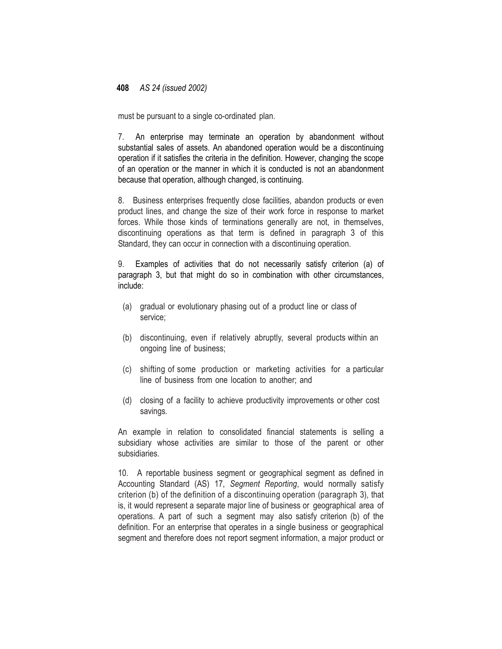must be pursuant to a single co-ordinated plan.

7. An enterprise may terminate an operation by abandonment without substantial sales of assets. An abandoned operation would be a discontinuing operation if it satisfies the criteria in the definition. However, changing the scope of an operation or the manner in which it is conducted is not an abandonment because that operation, although changed, is continuing.

8. Business enterprises frequently close facilities, abandon products or even product lines, and change the size of their work force in response to market forces. While those kinds of terminations generally are not, in themselves, discontinuing operations as that term is defined in paragraph 3 of this Standard, they can occur in connection with a discontinuing operation.

9. Examples of activities that do not necessarily satisfy criterion (a) of paragraph 3, but that might do so in combination with other circumstances, include:

- (a) gradual or evolutionary phasing out of a product line or class of service;
- (b) discontinuing, even if relatively abruptly, several products within an ongoing line of business;
- (c) shifting of some production or marketing activities for a particular line of business from one location to another; and
- (d) closing of a facility to achieve productivity improvements or other cost savings.

An example in relation to consolidated financial statements is selling a subsidiary whose activities are similar to those of the parent or other subsidiaries.

10. A reportable business segment or geographical segment as defined in Accounting Standard (AS) 17, *Segment Reporting*, would normally satisfy criterion (b) of the definition of a discontinuing operation (paragraph 3), that is, it would represent a separate major line of business or geographical area of operations. A part of such a segment may also satisfy criterion (b) of the definition. For an enterprise that operates in a single business or geographical segment and therefore does not report segment information, a major product or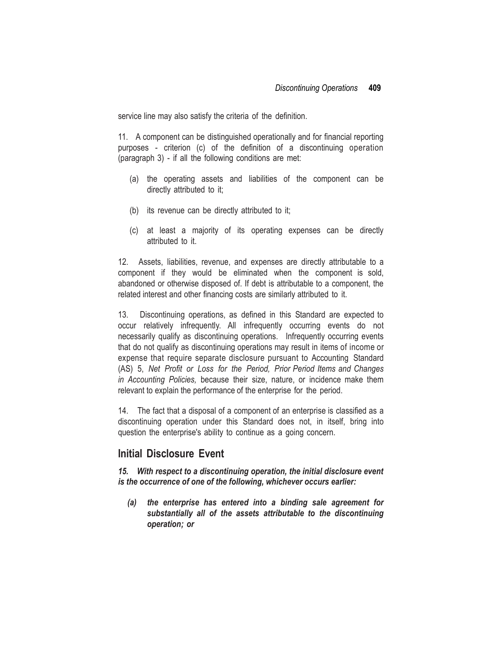service line may also satisfy the criteria of the definition.

11. A component can be distinguished operationally and for financial reporting purposes - criterion (c) of the definition of a discontinuing operation (paragraph 3) - if all the following conditions are met:

- (a) the operating assets and liabilities of the component can be directly attributed to it;
- (b) its revenue can be directly attributed to it;
- (c) at least a majority of its operating expenses can be directly attributed to it.

12. Assets, liabilities, revenue, and expenses are directly attributable to a component if they would be eliminated when the component is sold, abandoned or otherwise disposed of. If debt is attributable to a component, the related interest and other financing costs are similarly attributed to it.

13. Discontinuing operations, as defined in this Standard are expected to occur relatively infrequently. All infrequently occurring events do not necessarily qualify as discontinuing operations. Infrequently occurring events that do not qualify as discontinuing operations may result in items of income or expense that require separate disclosure pursuant to Accounting Standard (AS) 5, *Net Profit or Loss for the Period, Prior Period Items and Changes in Accounting Policies,* because their size, nature, or incidence make them relevant to explain the performance of the enterprise for the period.

14. The fact that a disposal of a component of an enterprise is classified as a discontinuing operation under this Standard does not, in itself, bring into question the enterprise's ability to continue as a going concern.

### **Initial Disclosure Event**

*15. With respect to a discontinuing operation, the initial disclosure event is the occurrence of one of the following, whichever occurs earlier:*

*(a) the enterprise has entered into a binding sale agreement for substantially all of the assets attributable to the discontinuing operation; or*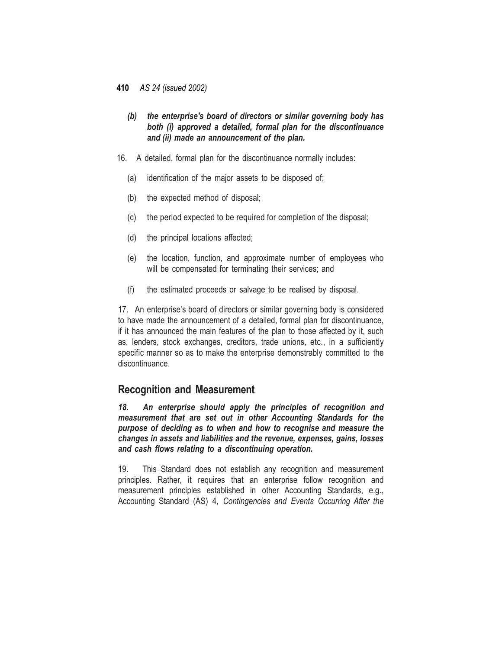- *(b) the enterprise's board of directors or similar governing body has both (i) approved a detailed, formal plan for the discontinuance and (ii) made an announcement of the plan.*
- 16. A detailed, formal plan for the discontinuance normally includes:
	- (a) identification of the major assets to be disposed of;
	- (b) the expected method of disposal;
	- (c) the period expected to be required for completion of the disposal;
	- (d) the principal locations affected;
	- (e) the location, function, and approximate number of employees who will be compensated for terminating their services; and
	- (f) the estimated proceeds or salvage to be realised by disposal.

17. An enterprise's board of directors or similar governing body is considered to have made the announcement of a detailed, formal plan for discontinuance, if it has announced the main features of the plan to those affected by it, such as, lenders, stock exchanges, creditors, trade unions, etc., in a sufficiently specific manner so as to make the enterprise demonstrably committed to the discontinuance.

### **Recognition and Measurement**

*18. An enterprise should apply the principles of recognition and measurement that are set out in other Accounting Standards for the purpose of deciding as to when and how to recognise and measure the changes in assets and liabilities and the revenue, expenses, gains, losses and cash flows relating to a discontinuing operation.*

19. This Standard does not establish any recognition and measurement principles. Rather, it requires that an enterprise follow recognition and measurement principles established in other Accounting Standards, e.g., Accounting Standard (AS) 4, *Contingencies and Events Occurring After the*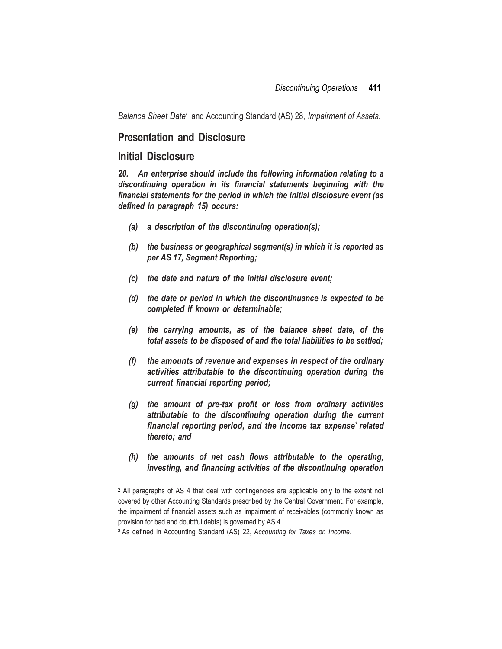Balance Sheet Date<sup>2</sup> and Accounting Standard (AS) 28, *Impairment of Assets*.

#### **Presentation and Disclosure**

#### **Initial Disclosure**

 $\overline{\phantom{a}}$ 

*20. An enterprise should include the following information relating to a discontinuing operation in its financial statements beginning with the financial statements for the period in which the initial disclosure event (as defined in paragraph 15) occurs:*

- *(a) a description of the discontinuing operation(s);*
- *(b) the business or geographical segment(s) in which it is reported as per AS 17, Segment Reporting;*
- *(c) the date and nature of the initial disclosure event;*
- *(d) the date or period in which the discontinuance is expected to be completed if known or determinable;*
- *(e) the carrying amounts, as of the balance sheet date, of the total assets to be disposed of and the total liabilities to be settled;*
- *(f) the amounts of revenue and expenses in respect of the ordinary activities attributable to the discontinuing operation during the current financial reporting period;*
- *(g) the amount of pre-tax profit or loss from ordinary activities attributable to the discontinuing operation during the current financial reporting period, and the income tax expense<sup>3</sup> related thereto; and*
- *(h) the amounts of net cash flows attributable to the operating, investing, and financing activities of the discontinuing operation*

<sup>2</sup> All paragraphs of AS 4 that deal with contingencies are applicable only to the extent not covered by other Accounting Standards prescribed by the Central Government. For example, the impairment of financial assets such as impairment of receivables (commonly known as provision for bad and doubtful debts) is governed by AS 4.

<sup>3</sup> As defined in Accounting Standard (AS) 22, *Accounting for Taxes on Income*.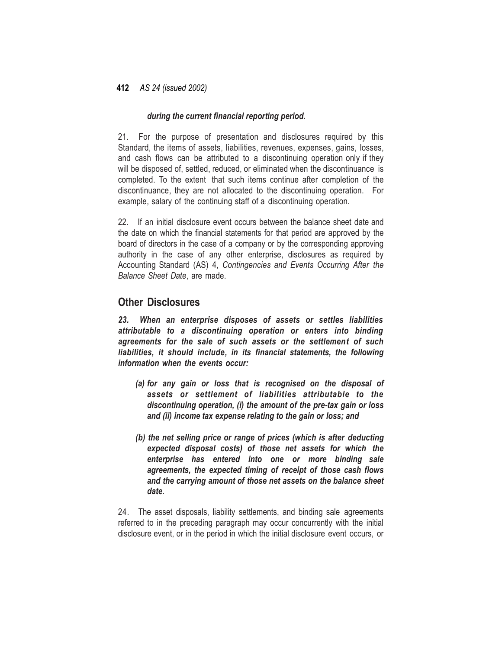#### *during the current financial reporting period.*

21. For the purpose of presentation and disclosures required by this Standard, the items of assets, liabilities, revenues, expenses, gains, losses, and cash flows can be attributed to a discontinuing operation only if they will be disposed of, settled, reduced, or eliminated when the discontinuance is completed. To the extent that such items continue after completion of the discontinuance, they are not allocated to the discontinuing operation. For example, salary of the continuing staff of a discontinuing operation.

22. If an initial disclosure event occurs between the balance sheet date and the date on which the financial statements for that period are approved by the board of directors in the case of a company or by the corresponding approving authority in the case of any other enterprise, disclosures as required by Accounting Standard (AS) 4, *Contingencies and Events Occurring After the Balance Sheet Date*, are made.

### **Other Disclosures**

*23. When an enterprise disposes of assets or settles liabilities attributable to a discontinuing operation or enters into binding agreements for the sale of such assets or the settlement of such liabilities, it should include, in its financial statements, the following information when the events occur:*

- *(a) for any gain or loss that is recognised on the disposal of assets or settlement of liabilities attributable to the discontinuing operation, (i) the amount of the pre-tax gain or loss and (ii) income tax expense relating to the gain or loss; and*
- *(b) the net selling price or range of prices (which is after deducting expected disposal costs) of those net assets for which the enterprise has entered into one or more binding sale agreements, the expected timing of receipt of those cash flows and the carrying amount of those net assets on the balance sheet date.*

24. The asset disposals, liability settlements, and binding sale agreements referred to in the preceding paragraph may occur concurrently with the initial disclosure event, or in the period in which the initial disclosure event occurs, or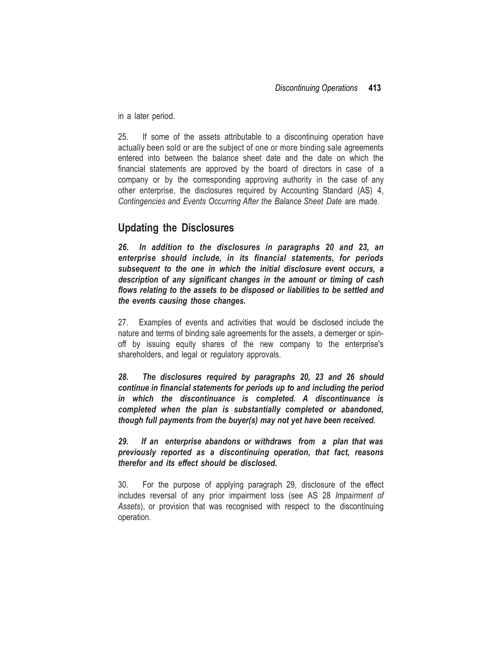in a later period.

25. If some of the assets attributable to a discontinuing operation have actually been sold or are the subject of one or more binding sale agreements entered into between the balance sheet date and the date on which the financial statements are approved by the board of directors in case of a company or by the corresponding approving authority in the case of any other enterprise, the disclosures required by Accounting Standard (AS) 4, *Contingencies and Events Occurring After the Balance Sheet Date* are made.

## **Updating the Disclosures**

*26. In addition to the disclosures in paragraphs 20 and 23, an enterprise should include, in its financial statements, for periods subsequent to the one in which the initial disclosure event occurs, a description of any significant changes in the amount or timing of cash flows relating to the assets to be disposed or liabilities to be settled and the events causing those changes.*

27. Examples of events and activities that would be disclosed include the nature and terms of binding sale agreements for the assets, a demerger or spinoff by issuing equity shares of the new company to the enterprise's shareholders, and legal or regulatory approvals.

*28. The disclosures required by paragraphs 20, 23 and 26 should continue in financial statements for periods up to and including the period in which the discontinuance is completed. A discontinuance is completed when the plan is substantially completed or abandoned, though full payments from the buyer(s) may not yet have been received.*

*29. If an enterprise abandons or withdraws from a plan that was previously reported as a discontinuing operation, that fact, reasons therefor and its effect should be disclosed.*

30. For the purpose of applying paragraph 29, disclosure of the effect includes reversal of any prior impairment loss (see AS 28 *Impairment of Assets*), or provision that was recognised with respect to the discontinuing operation.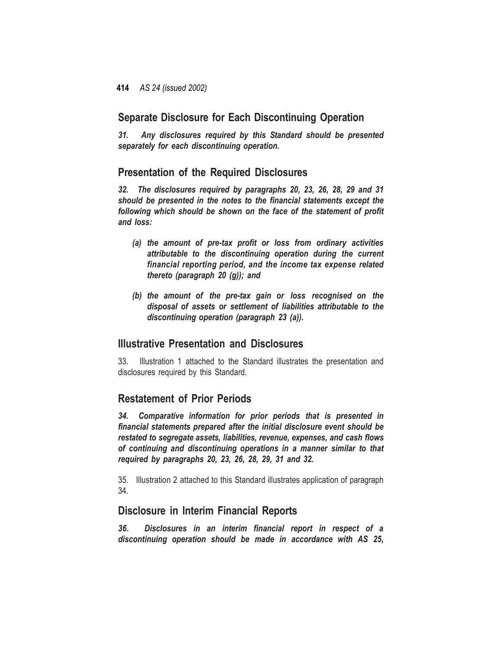### **Separate Disclosure for Each Discontinuing Operation**

*31. Any disclosures required by this Standard should be presented separately for each discontinuing operation.*

### **Presentation of the Required Disclosures**

*32. The disclosures required by paragraphs 20, 23, 26, 28, 29 and 31 should be presented in the notes to the financial statements except the following which should be shown on the face of the statement of profit and loss:*

- *(a) the amount of pre-tax profit or loss from ordinary activities attributable to the discontinuing operation during the current financial reporting period, and the income tax expense related thereto (paragraph 20 (g)); and*
- *(b) the amount of the pre-tax gain or loss recognised on the disposal of assets or settlement of liabilities attributable to the discontinuing operation (paragraph 23 (a)).*

## **Illustrative Presentation and Disclosures**

33. Illustration 1 attached to the Standard illustrates the presentation and disclosures required by this Standard.

## **Restatement of Prior Periods**

*34. Comparative information for prior periods that is presented in financial statements prepared after the initial disclosure event should be restated to segregate assets, liabilities, revenue, expenses, and cash flows of continuing and discontinuing operations in a manner similar to that required by paragraphs 20, 23, 26, 28, 29, 31 and 32.*

35. Illustration 2 attached to this Standard illustrates application of paragraph 34.

## **Disclosure in Interim Financial Reports**

*36. Disclosures in an interim financial report in respect of a discontinuing operation should be made in accordance with AS 25,*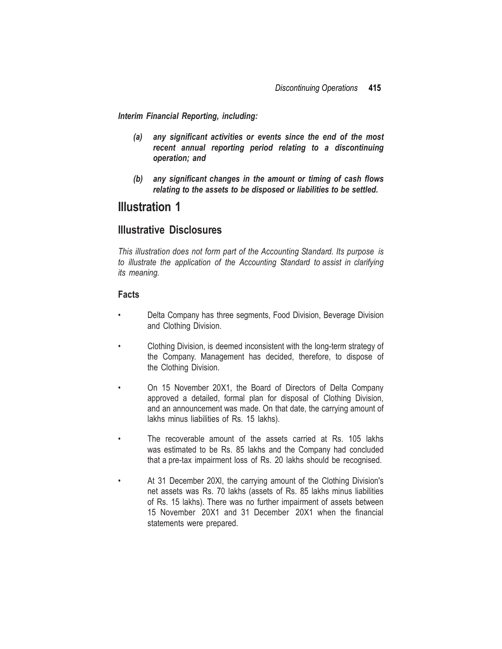*Interim Financial Reporting, including:*

- *(a) any significant activities or events since the end of the most recent annual reporting period relating to a discontinuing operation; and*
- *(b) any significant changes in the amount or timing of cash flows relating to the assets to be disposed or liabilities to be settled.*

## **Illustration 1**

### **Illustrative Disclosures**

*This illustration does not form part of the Accounting Standard. Its purpose is to illustrate the application of the Accounting Standard to assist in clarifying its meaning.*

#### **Facts**

- Delta Company has three segments, Food Division, Beverage Division and Clothing Division.
- Clothing Division, is deemed inconsistent with the long-term strategy of the Company. Management has decided, therefore, to dispose of the Clothing Division.
- On 15 November 20X1, the Board of Directors of Delta Company approved a detailed, formal plan for disposal of Clothing Division, and an announcement was made. On that date, the carrying amount of lakhs minus liabilities of Rs. 15 lakhs).
- The recoverable amount of the assets carried at Rs. 105 lakhs was estimated to be Rs. 85 lakhs and the Company had concluded that a pre-tax impairment loss of Rs. 20 lakhs should be recognised.
- At 31 December 20Xl, the carrying amount of the Clothing Division's net assets was Rs. 70 lakhs (assets of Rs. 85 lakhs minus liabilities of Rs. 15 lakhs). There was no further impairment of assets between 15 November 20X1 and 31 December 20X1 when the financial statements were prepared.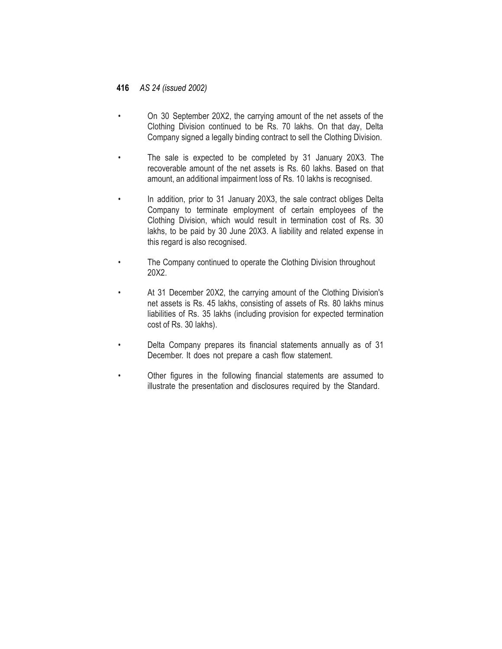- On 30 September 20X2, the carrying amount of the net assets of the Clothing Division continued to be Rs. 70 lakhs. On that day, Delta Company signed a legally binding contract to sell the Clothing Division.
- The sale is expected to be completed by 31 January 20X3. The recoverable amount of the net assets is Rs. 60 lakhs. Based on that amount, an additional impairment loss of Rs. 10 lakhs is recognised.
- In addition, prior to 31 January 20X3, the sale contract obliges Delta Company to terminate employment of certain employees of the Clothing Division, which would result in termination cost of Rs. 30 lakhs, to be paid by 30 June 20X3. A liability and related expense in this regard is also recognised.
- The Company continued to operate the Clothing Division throughout 20X2.
- At 31 December 20X2, the carrying amount of the Clothing Division's net assets is Rs. 45 lakhs, consisting of assets of Rs. 80 lakhs minus liabilities of Rs. 35 lakhs (including provision for expected termination cost of Rs. 30 lakhs).
- Delta Company prepares its financial statements annually as of 31 December. It does not prepare a cash flow statement.
- Other figures in the following financial statements are assumed to illustrate the presentation and disclosures required by the Standard.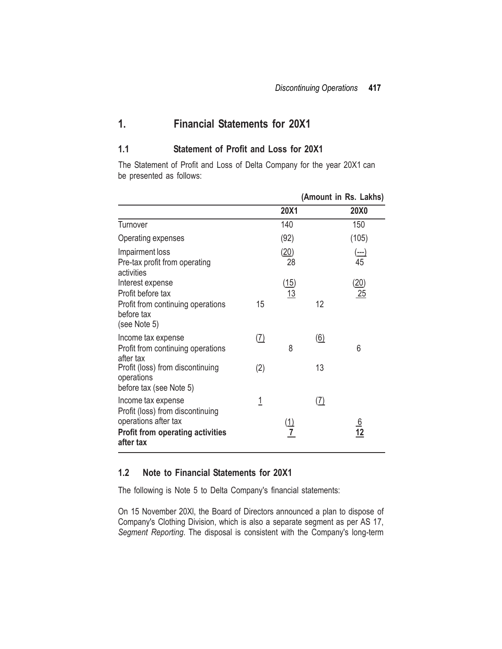## **1. Financial Statements for 20X1**

### **1.1 Statement of Profit and Loss for 20X1**

The Statement of Profit and Loss of Delta Company for the year 20X1 can be presented as follows:

|                                                                                                                                        |            |                              |                   | (Amount in Rs. Lakhs) |
|----------------------------------------------------------------------------------------------------------------------------------------|------------|------------------------------|-------------------|-----------------------|
|                                                                                                                                        |            | 20X1                         |                   | <b>20X0</b>           |
| Turnover                                                                                                                               |            | 140                          |                   | 150                   |
| Operating expenses                                                                                                                     |            | (92)                         |                   | (105)                 |
| Impairment loss<br>Pre-tax profit from operating<br>activities                                                                         |            | (20)<br>28                   |                   | $\frac{(-)}{45}$      |
| Interest expense<br>Profit before tax<br>Profit from continuing operations<br>before tax<br>(see Note 5)                               | 15         | $\frac{(15)}{13}$            | 12                | (20)<br>25            |
| Income tax expense<br>Profit from continuing operations<br>after tax                                                                   | <u>(7)</u> | 8                            | $\underline{(6)}$ | 6                     |
| Profit (loss) from discontinuing<br>operations<br>before tax (see Note 5)                                                              | (2)        |                              | 13                |                       |
| Income tax expense<br>Profit (loss) from discontinuing<br>operations after tax<br><b>Profit from operating activities</b><br>after tax | <u>1</u>   | <u>(1)</u><br>$\overline{7}$ | <u>(7)</u>        | $\frac{6}{12}$        |

#### **1.2 Note to Financial Statements for 20X1**

The following is Note 5 to Delta Company's financial statements:

On 15 November 20Xl, the Board of Directors announced a plan to dispose of Company's Clothing Division, which is also a separate segment as per AS 17, *Segment Reporting*. The disposal is consistent with the Company's long-term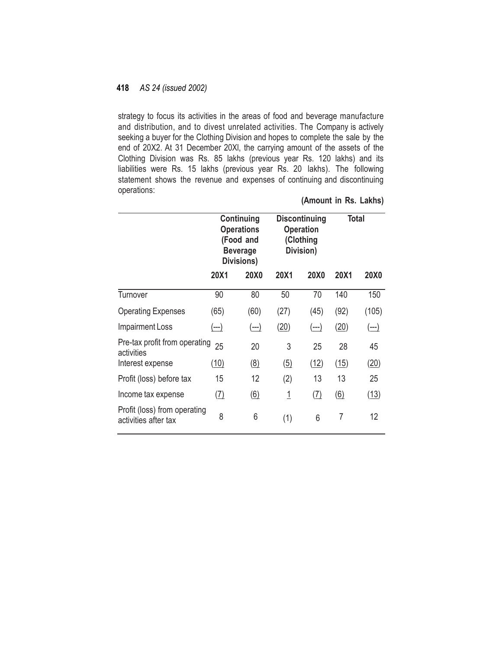strategy to focus its activities in the areas of food and beverage manufacture and distribution, and to divest unrelated activities. The Company is actively seeking a buyer for the Clothing Division and hopes to complete the sale by the end of 20X2. At 31 December 20Xl, the carrying amount of the assets of the Clothing Division was Rs. 85 lakhs (previous year Rs. 120 lakhs) and its liabilities were Rs. 15 lakhs (previous year Rs. 20 lakhs). The following statement shows the revenue and expenses of continuing and discontinuing operations:

|                                                      | Continuing<br><b>Operations</b><br>(Food and<br><b>Beverage</b><br>Divisions) |                              | <b>Discontinuing</b><br><b>Operation</b><br>(Clothing<br>Division) |             | <b>Total</b>   |             |
|------------------------------------------------------|-------------------------------------------------------------------------------|------------------------------|--------------------------------------------------------------------|-------------|----------------|-------------|
|                                                      | 20X1                                                                          | <b>20X0</b>                  | 20X1                                                               | <b>20X0</b> | 20X1           | <b>20X0</b> |
| Turnover                                             | 90                                                                            | 80                           | 50                                                                 | 70          | 140            | 150         |
| <b>Operating Expenses</b>                            | (65)                                                                          | (60)                         | (27)                                                               | (45)        | (92)           | (105)       |
| <b>Impairment Loss</b>                               | (---)                                                                         | (---)                        | (20)                                                               | (---)       | (20)           | (---)       |
| Pre-tax profit from operating<br>activities          | 25                                                                            | 20                           | 3                                                                  | 25          | 28             | 45          |
| Interest expense                                     | (10)                                                                          | $\left(\underline{8}\right)$ | $\left( 5\right)$                                                  | (12)        | (15)           | (20)        |
| Profit (loss) before tax                             | 15                                                                            | 12                           | (2)                                                                | 13          | 13             | 25          |
| Income tax expense                                   | (7)                                                                           | $\underline{(6)}$            | <u> 1</u>                                                          | (7)         | (6)            | (13)        |
| Profit (loss) from operating<br>activities after tax | 8                                                                             | 6                            | (1)                                                                | 6           | $\overline{7}$ | 12          |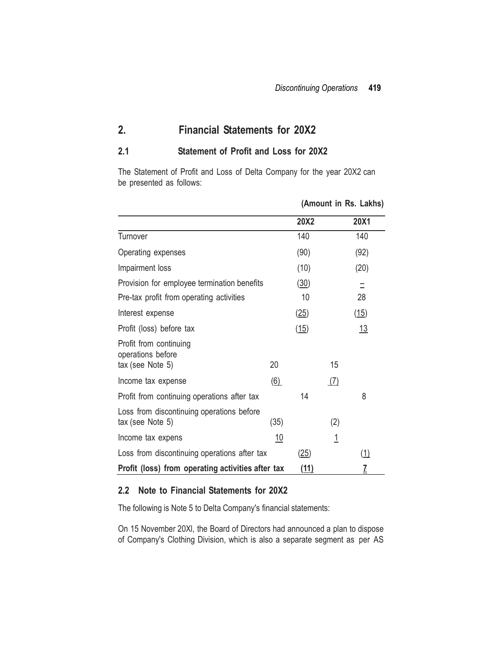## **2. Financial Statements for 20X2**

### **2.1 Statement of Profit and Loss for 20X2**

The Statement of Profit and Loss of Delta Company for the year 20X2 can be presented as follows:

|                                                               |                   |             | (Amount in Rs. Lakhs) |      |  |  |  |
|---------------------------------------------------------------|-------------------|-------------|-----------------------|------|--|--|--|
|                                                               |                   | <b>20X2</b> |                       | 20X1 |  |  |  |
| Turnover                                                      |                   | 140         |                       | 140  |  |  |  |
| Operating expenses                                            |                   | (90)        |                       | (92) |  |  |  |
| Impairment loss                                               |                   | (10)        |                       | (20) |  |  |  |
| Provision for employee termination benefits                   |                   | (30)        |                       | Ξ    |  |  |  |
| Pre-tax profit from operating activities                      |                   | 10          |                       | 28   |  |  |  |
| Interest expense                                              |                   | (25)        |                       | (15) |  |  |  |
| Profit (loss) before tax                                      |                   | (15)        |                       | 13   |  |  |  |
| Profit from continuing<br>operations before                   |                   |             |                       |      |  |  |  |
| tax (see Note 5)                                              | 20                |             | 15                    |      |  |  |  |
| Income tax expense                                            | $\underline{(6)}$ |             | (7)                   |      |  |  |  |
| Profit from continuing operations after tax                   |                   | 14          |                       | 8    |  |  |  |
| Loss from discontinuing operations before<br>tax (see Note 5) | (35)              |             | (2)                   |      |  |  |  |
| Income tax expens                                             | 10                |             | $\overline{1}$        |      |  |  |  |
| Loss from discontinuing operations after tax                  |                   | (25)        |                       | (1)  |  |  |  |
| Profit (loss) from operating activities after tax             | <u>(11)</u>       |             | $\overline{1}$        |      |  |  |  |

#### **2.2 Note to Financial Statements for 20X2**

The following is Note 5 to Delta Company's financial statements:

On 15 November 20Xl, the Board of Directors had announced a plan to dispose of Company's Clothing Division, which is also a separate segment as per AS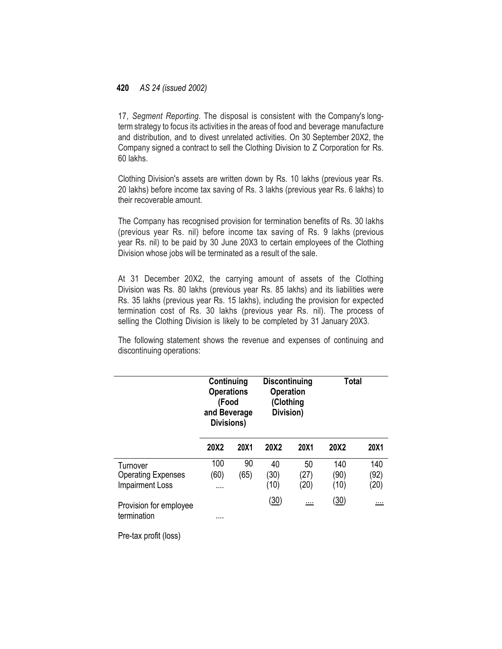17, *Segment Reporting*. The disposal is consistent with the Company's longtermstrategy to focus its activities in the areas of food and beverage manufacture and distribution, and to divest unrelated activities. On 30 September 20X2, the Company signed a contract to sell the Clothing Division to Z Corporation for Rs. 60 lakhs.

Clothing Division's assets are written down by Rs. 10 lakhs (previous year Rs. 20 lakhs) before income tax saving of Rs. 3 lakhs (previous year Rs. 6 lakhs) to their recoverable amount.

The Company has recognised provision for termination benefits of Rs. 30 lakhs (previous year Rs. nil) before income tax saving of Rs. 9 lakhs (previous year Rs. nil) to be paid by 30 June 20X3 to certain employees of the Clothing Division whose jobs will be terminated as a result of the sale.

At 31 December 20X2, the carrying amount of assets of the Clothing Division was Rs. 80 lakhs (previous year Rs. 85 lakhs) and its liabilities were Rs. 35 lakhs (previous year Rs. 15 lakhs), including the provision for expected termination cost of Rs. 30 lakhs (previous year Rs. nil). The process of selling the Clothing Division is likely to be completed by 31 January 20X3.

The following statement shows the revenue and expenses of continuing and discontinuing operations:

|                                       | Continuing<br><b>Operations</b><br>(Food<br>and Beverage<br>Divisions) |             | <b>Discontinuing</b><br><b>Operation</b><br>(Clothing<br>Division) |          | <b>Total</b> |          |
|---------------------------------------|------------------------------------------------------------------------|-------------|--------------------------------------------------------------------|----------|--------------|----------|
|                                       | 20X2                                                                   | <b>20X1</b> | 20X2                                                               | 20X1     | 20X2         | 20X1     |
| Turnover                              | 100                                                                    | 90          | 40                                                                 | 50       | 140          | 140      |
| <b>Operating Expenses</b>             | (60)                                                                   | (65)        | (30)                                                               | (27)     | (90)         | (92)     |
| <b>Impairment Loss</b>                |                                                                        |             | (10)                                                               | (20)     | (10)         | (20)     |
| Provision for employee<br>termination | .                                                                      |             | (30)                                                               | $\cdots$ | <u>(30)</u>  | $\cdots$ |

Pre-tax profit (loss)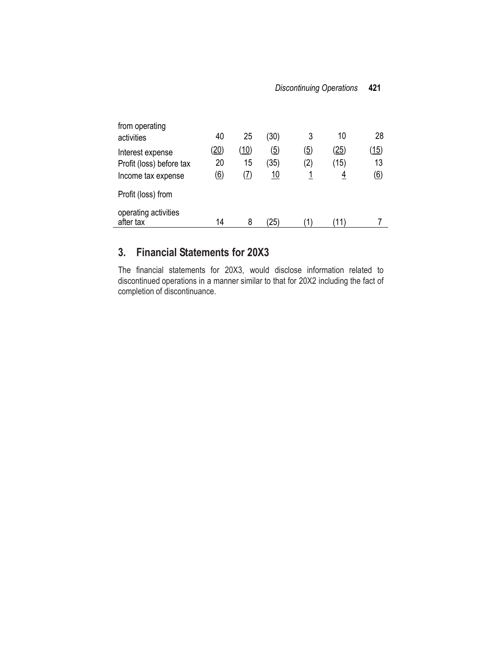| from operating                    |                   |             |                   |                   |      |                   |
|-----------------------------------|-------------------|-------------|-------------------|-------------------|------|-------------------|
| activities                        | 40                | 25          | (30)              | 3                 | 10   | 28                |
| Interest expense                  | <u>(20)</u>       | <u>(10)</u> | $\left( 5\right)$ | $\left( 5\right)$ | (25) | (15)              |
| Profit (loss) before tax          | 20                | 15          | (35)              | (2)               | (15) | 13                |
| Income tax expense                | $\left( 6\right)$ | (7)         | 10                |                   |      | $\left( 6\right)$ |
| Profit (loss) from                |                   |             |                   |                   |      |                   |
| operating activities<br>after tax | 14                | 8           | 25)               |                   |      |                   |

## **3. Financial Statements for 20X3**

The financial statements for 20X3, would disclose information related to discontinued operations in a manner similar to that for 20X2 including the fact of completion of discontinuance.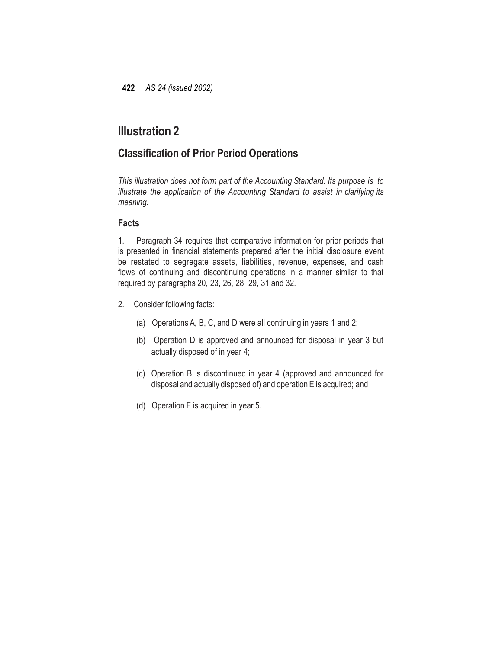## **Illustration 2**

## **Classification of Prior Period Operations**

*This illustration does not form part of the Accounting Standard. Its purpose is to illustrate the application of the Accounting Standard to assist in clarifying its meaning.*

### **Facts**

1. Paragraph 34 requires that comparative information for prior periods that is presented in financial statements prepared after the initial disclosure event be restated to segregate assets, liabilities, revenue, expenses, and cash flows of continuing and discontinuing operations in a manner similar to that required by paragraphs 20, 23, 26, 28, 29, 31 and 32.

- 2. Consider following facts:
	- (a) Operations A, B, C, and D were all continuing in years 1 and 2;
	- (b) Operation D is approved and announced for disposal in year 3 but actually disposed of in year 4;
	- (c) Operation B is discontinued in year 4 (approved and announced for disposal and actually disposed of) and operation E is acquired; and
	- (d) Operation F is acquired in year 5.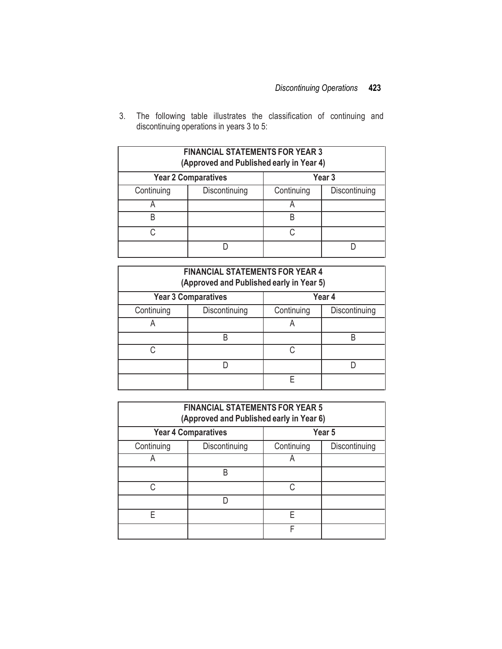3. The following table illustrates the classification of continuing and discontinuing operations in years 3 to 5:

| <b>FINANCIAL STATEMENTS FOR YEAR 3</b><br>(Approved and Published early in Year 4) |               |            |               |  |  |  |  |
|------------------------------------------------------------------------------------|---------------|------------|---------------|--|--|--|--|
| <b>Year 2 Comparatives</b><br>Year 3                                               |               |            |               |  |  |  |  |
| Continuing                                                                         | Discontinuing | Continuing | Discontinuing |  |  |  |  |
|                                                                                    |               |            |               |  |  |  |  |
| B                                                                                  |               | R          |               |  |  |  |  |
| C                                                                                  |               |            |               |  |  |  |  |
|                                                                                    |               |            |               |  |  |  |  |

| <b>FINANCIAL STATEMENTS FOR YEAR 4</b><br>(Approved and Published early in Year 5) |                            |            |               |  |  |  |  |
|------------------------------------------------------------------------------------|----------------------------|------------|---------------|--|--|--|--|
|                                                                                    | <b>Year 3 Comparatives</b> |            | Year 4        |  |  |  |  |
| Continuing                                                                         | Discontinuing              | Continuing | Discontinuing |  |  |  |  |
| A                                                                                  |                            | A          |               |  |  |  |  |
|                                                                                    | R                          |            | R             |  |  |  |  |
| C.                                                                                 |                            |            |               |  |  |  |  |
|                                                                                    |                            |            |               |  |  |  |  |
|                                                                                    |                            |            |               |  |  |  |  |

| <b>FINANCIAL STATEMENTS FOR YEAR 5</b><br>(Approved and Published early in Year 6) |                            |                             |        |  |  |  |  |
|------------------------------------------------------------------------------------|----------------------------|-----------------------------|--------|--|--|--|--|
|                                                                                    | <b>Year 4 Comparatives</b> |                             | Year 5 |  |  |  |  |
| Continuing                                                                         | Discontinuing              | Continuing<br>Discontinuing |        |  |  |  |  |
|                                                                                    |                            |                             |        |  |  |  |  |
|                                                                                    | B                          |                             |        |  |  |  |  |
| ◠                                                                                  |                            | C                           |        |  |  |  |  |
|                                                                                    |                            |                             |        |  |  |  |  |
| F                                                                                  |                            | F                           |        |  |  |  |  |
|                                                                                    |                            | F                           |        |  |  |  |  |